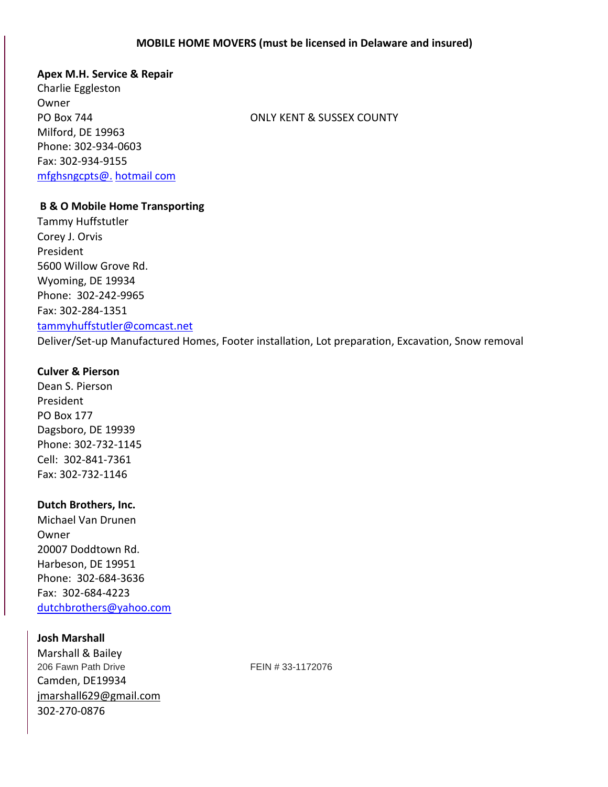### **Apex M.H. Service & Repair**

Charlie Eggleston **Owner** Milford, DE 19963 Phone: 302-934-0603 Fax: 302-934-9155 [mfghsngcpts@.](mailto:mfghsngcpts@hotmail.com) hotmail com

PO Box 744 ONLY KENT & SUSSEX COUNTY

### **B & O Mobile Home Transporting**

Tammy Huffstutler Corey J. Orvis President 5600 Willow Grove Rd. Wyoming, DE 19934 Phone: 302-242-9965 Fax: 302-284-1351 [tammyhuffstutler@comcast.net](mailto:tammyhuffstutler@comcast.net) Deliver/Set-up Manufactured Homes, Footer installation, Lot preparation, Excavation, Snow removal

# **Culver & Pierson**

Dean S. Pierson President PO Box 177 Dagsboro, DE 19939 Phone: 302-732-1145 Cell: 302-841-7361 Fax: 302-732-1146

# **Dutch Brothers, Inc.**

Michael Van Drunen Owner 20007 Doddtown Rd. Harbeson, DE 19951 Phone: 302-684-3636 Fax: 302-684-4223 [dutchbrothers@yahoo.com](mailto:dutchbrothers@yahoo.com)

# **Josh Marshall**

Marshall & Bailey 206 Fawn Path Drive **FEIN # 33-1172076** Camden, DE19934 [jmarshall629@gmail.com](mailto:jmarshall629@gmail.com) 302-270-0876